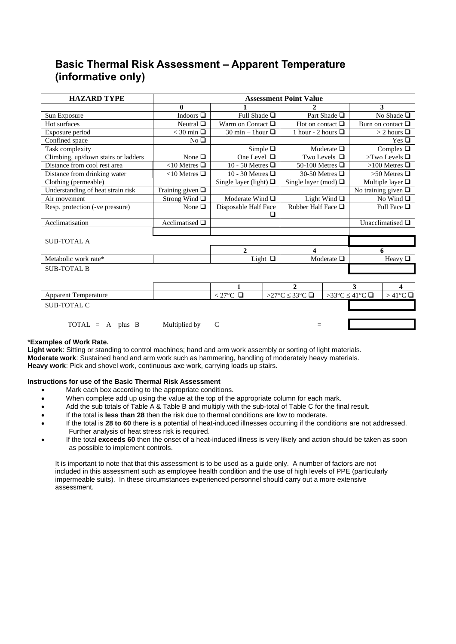## **Basic Thermal Risk Assessment – Apparent Temperature (informative only)**

| <b>HAZARD TYPE</b>                  | <b>Assessment Point Value</b> |                             |                           |                          |  |  |  |  |
|-------------------------------------|-------------------------------|-----------------------------|---------------------------|--------------------------|--|--|--|--|
|                                     | $\bf{0}$                      |                             |                           | 3                        |  |  |  |  |
| Sun Exposure                        | Indoors $\square$             | Full Shade $\Box$           | Part Shade $\Box$         | No Shade $\Box$          |  |  |  |  |
| Hot surfaces                        | Neutral $\Box$                | Warm on Contact $\Box$      | Hot on contact $\Box$     | Burn on contact $\Box$   |  |  |  |  |
| Exposure period                     | $<$ 30 min $\Box$             | 30 min – 1 hour $\Box$      | 1 hour - 2 hours $\Box$   | $>$ 2 hours $\Box$       |  |  |  |  |
| Confined space                      | No <sub>Q</sub>               |                             |                           | Yes $\Box$               |  |  |  |  |
| Task complexity                     |                               | Simple $\square$            | Moderate $\Box$           | Complex $\Box$           |  |  |  |  |
| Climbing, up/down stairs or ladders | None $\Box$                   | One Level $\Box$            | Two Levels $\Box$         | >Two Levels $\square$    |  |  |  |  |
| Distance from cool rest area        | $<$ 10 Metres $\Box$          | 10 - 50 Metres $\Box$       | 50-100 Metres $\Box$      | >100 Metres $\Box$       |  |  |  |  |
| Distance from drinking water        | <10 Metres $□$                | 10 - 30 Metres $\Box$       | 30-50 Metres $\Box$       | $>50$ Metres $\Box$      |  |  |  |  |
| Clothing (permeable)                |                               | Single layer (light) $\Box$ | Single layer (mod) $\Box$ | Multiple layer $\Box$    |  |  |  |  |
| Understanding of heat strain risk   | Training given $\Box$         |                             |                           | No training given $\Box$ |  |  |  |  |
| Air movement                        | Strong Wind $\Box$            | Moderate Wind $\Box$        | Light Wind $\Box$         | No Wind $\Box$           |  |  |  |  |
| Resp. protection (-ve pressure)     | None $\Box$                   | Disposable Half Face        | Rubber Half Face $\Box$   | Full Face $\Box$         |  |  |  |  |
|                                     |                               | Н                           |                           |                          |  |  |  |  |
| Acclimatisation                     | Acclimatised $\Box$           |                             |                           | Unacclimatised $\Box$    |  |  |  |  |
|                                     |                               |                             |                           |                          |  |  |  |  |
| <b>SUB-TOTAL A</b>                  |                               |                             |                           |                          |  |  |  |  |
|                                     |                               | 2                           | $\boldsymbol{\Delta}$     | 6                        |  |  |  |  |
| Metabolic work rate*                |                               | Light $\Box$                | Moderate $\Box$           | Heavy $\Box$             |  |  |  |  |
| <b>SUB-TOTAL B</b>                  |                               |                             |                           |                          |  |  |  |  |
|                                     |                               |                             |                           |                          |  |  |  |  |

| <b>Apparent Temperature</b>      |               | $<$ 27°C $\Box$ | >27°C $\leq$ 33°C $\Box$ $\Rightarrow$ 33°C $\leq$ 41°C $\Box$ |  | $\vert > 41^{\circ}$ C |
|----------------------------------|---------------|-----------------|----------------------------------------------------------------|--|------------------------|
| SUB-TOTAL C                      |               |                 |                                                                |  |                        |
|                                  |               |                 |                                                                |  |                        |
| $\text{TOTAL} = \text{A}$ plus B | Multiplied by |                 |                                                                |  |                        |

## \***Examples of Work Rate.**

**Light work**: Sitting or standing to control machines; hand and arm work assembly or sorting of light materials. **Moderate work**: Sustained hand and arm work such as hammering, handling of moderately heavy materials. **Heavy work**: Pick and shovel work, continuous axe work, carrying loads up stairs.

## **Instructions for use of the Basic Thermal Risk Assessment**

- Mark each box according to the appropriate conditions.
- When complete add up using the value at the top of the appropriate column for each mark.
- Add the sub totals of Table A & Table B and multiply with the sub-total of Table C for the final result.
- If the total is **less than 28** then the risk due to thermal conditions are low to moderate.
- If the total is **28 to 60** there is a potential of heat-induced illnesses occurring if the conditions are not addressed. Further analysis of heat stress risk is required.
- If the total **exceeds 60** then the onset of a heat-induced illness is very likely and action should be taken as soon as possible to implement controls.

It is important to note that that this assessment is to be used as a guide only. A number of factors are not included in this assessment such as employee health condition and the use of high levels of PPE (particularly impermeable suits). In these circumstances experienced personnel should carry out a more extensive assessment.